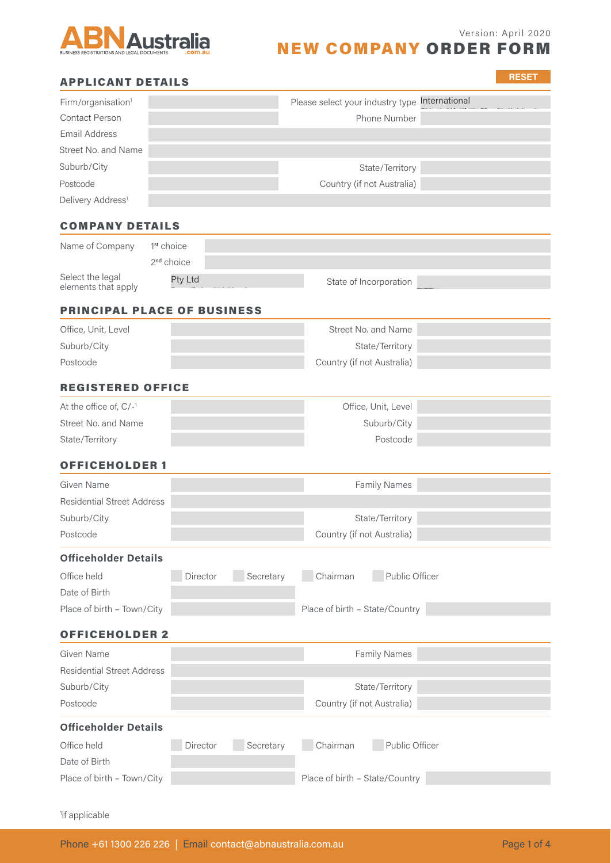

**RESET**

# NEW COMPANY ORDER FORM

# APPLICANT DETAILS

| Firm/organisation <sup>1</sup> | Please select your industry type International |  |
|--------------------------------|------------------------------------------------|--|
| Contact Person                 | Phone Number                                   |  |
| Email Address                  |                                                |  |
| Street No. and Name            |                                                |  |
| Suburb/City                    | State/Territory                                |  |
| Postcode                       | Country (if not Australia)                     |  |
| Delivery Address <sup>1</sup>  |                                                |  |

# COMPANY DETAILS

| Name of Company                         | 1 <sup>st</sup> choice |                        |  |
|-----------------------------------------|------------------------|------------------------|--|
|                                         | 2 <sup>nd</sup> choice |                        |  |
| Select the legal<br>elements that apply | Pty Ltd                | State of Incorporation |  |

### PRINCIPAL PLACE OF BUSINESS

| Office, Unit, Level | Street No. and Name        |  |
|---------------------|----------------------------|--|
| Suburb/City         | State/Territory            |  |
| Postcode            | Country (if not Australia) |  |

# REGISTERED OFFICE

| At the office of, $C/-1$ | Office, Unit, Level |  |
|--------------------------|---------------------|--|
| Street No. and Name      | Suburb/City         |  |
| State/Territory          | Postcode            |  |

## OFFICEHOLDER 1

| Postcode                          | Country (if not Australia) |  |
|-----------------------------------|----------------------------|--|
| Suburb/City                       | State/Territory            |  |
| <b>Residential Street Address</b> |                            |  |
| Given Name                        | <b>Family Names</b>        |  |
|                                   |                            |  |

#### **Officeholder Details**

| Office held                | Director | Secretary | l Chairman                     | Public Officer |
|----------------------------|----------|-----------|--------------------------------|----------------|
| Date of Birth              |          |           |                                |                |
| Place of birth - Town/City |          |           | Place of birth - State/Country |                |

## OFFICEHOLDER 2

| Given Name                        | <b>Family Names</b>        |  |
|-----------------------------------|----------------------------|--|
| <b>Residential Street Address</b> |                            |  |
| Suburb/City                       | State/Territory            |  |
| Postcode                          | Country (if not Australia) |  |
| <b>Officeholder Details</b>       |                            |  |

| Office held                | Director | Secretary | Chairman                       | Public Officer |
|----------------------------|----------|-----------|--------------------------------|----------------|
| Date of Birth              |          |           |                                |                |
| Place of birth - Town/City |          |           | Place of birth - State/Country |                |

<sup>1</sup>if applicable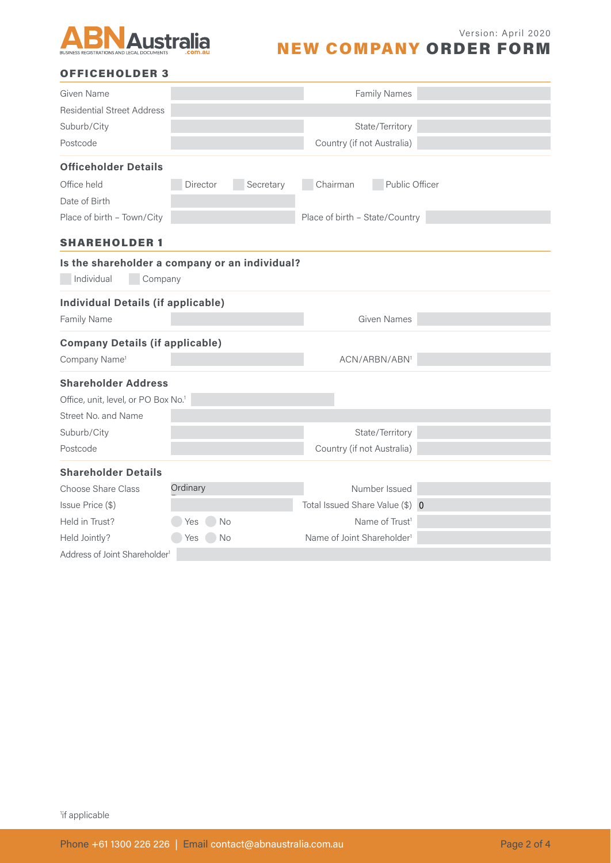

#### Version: April 2020

# NEW COMPANY ORDER FORM

## OFFICEHOLDER 3

| Given Name                                      |                                                           | <b>Family Names</b>                    |  |
|-------------------------------------------------|-----------------------------------------------------------|----------------------------------------|--|
| <b>Residential Street Address</b>               |                                                           |                                        |  |
| Suburb/City                                     |                                                           | State/Territory                        |  |
| Postcode                                        |                                                           | Country (if not Australia)             |  |
| <b>Officeholder Details</b>                     |                                                           |                                        |  |
| Office held                                     | Secretary<br>Director                                     | Chairman<br>Public Officer             |  |
| Date of Birth                                   |                                                           |                                        |  |
| Place of birth - Town/City                      |                                                           | Place of birth - State/Country         |  |
| <b>SHAREHOLDER 1</b>                            |                                                           |                                        |  |
| Individual                                      | Is the shareholder a company or an individual?<br>Company |                                        |  |
| <b>Individual Details (if applicable)</b>       |                                                           |                                        |  |
| Family Name                                     |                                                           | <b>Given Names</b>                     |  |
| <b>Company Details (if applicable)</b>          |                                                           |                                        |  |
| Company Name <sup>1</sup>                       |                                                           | ACN/ARBN/ABN <sup>1</sup>              |  |
| <b>Shareholder Address</b>                      |                                                           |                                        |  |
| Office, unit, level, or PO Box No. <sup>1</sup> |                                                           |                                        |  |
| Street No. and Name                             |                                                           |                                        |  |
| Suburb/City                                     |                                                           | State/Territory                        |  |
| Postcode                                        |                                                           | Country (if not Australia)             |  |
| <b>Shareholder Details</b>                      |                                                           |                                        |  |
| Choose Share Class                              | Ordinary                                                  | Number Issued                          |  |
| Issue Price (\$)                                |                                                           | Total Issued Share Value (\$) 0        |  |
| Held in Trust?                                  | No<br>Yes                                                 | Name of Trust <sup>1</sup>             |  |
| Held Jointly?                                   | No<br>Yes                                                 | Name of Joint Shareholder <sup>1</sup> |  |
| Address of Joint Shareholder <sup>1</sup>       |                                                           |                                        |  |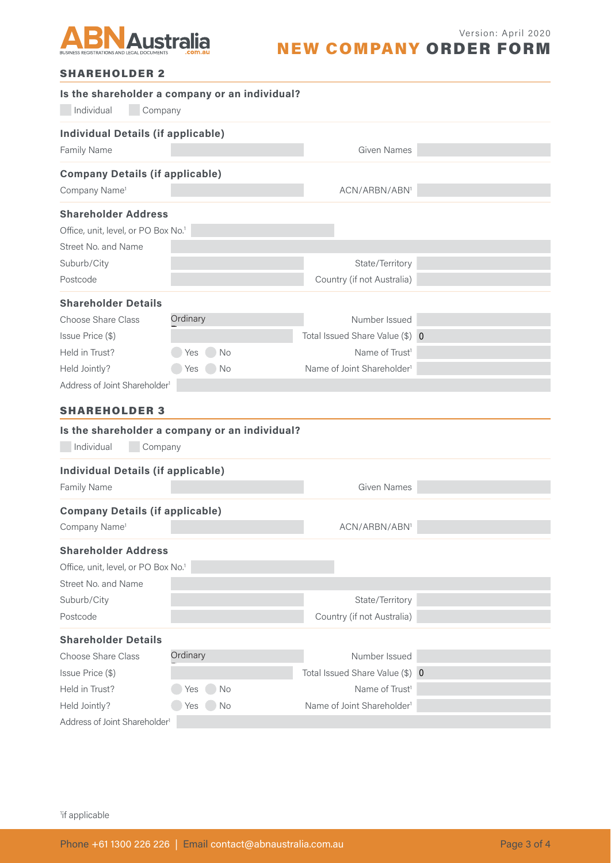

# NEW COMPANY ORDER FORM

|--|

| Individual<br>Company                           | Is the shareholder a company or an individual? |                                        |  |
|-------------------------------------------------|------------------------------------------------|----------------------------------------|--|
| <b>Individual Details (if applicable)</b>       |                                                |                                        |  |
| Family Name                                     |                                                | <b>Given Names</b>                     |  |
| <b>Company Details (if applicable)</b>          |                                                |                                        |  |
| Company Name <sup>1</sup>                       |                                                | ACN/ARBN/ABN <sup>1</sup>              |  |
| <b>Shareholder Address</b>                      |                                                |                                        |  |
| Office, unit, level, or PO Box No. <sup>1</sup> |                                                |                                        |  |
| Street No. and Name                             |                                                |                                        |  |
| Suburb/City                                     |                                                | State/Territory                        |  |
| Postcode                                        |                                                | Country (if not Australia)             |  |
| <b>Shareholder Details</b>                      |                                                |                                        |  |
| Choose Share Class                              | Ordinary                                       | Number Issued                          |  |
| Issue Price (\$)                                |                                                | Total Issued Share Value (\$) 0        |  |
| Held in Trust?                                  | <b>No</b><br>Yes                               | Name of Trust <sup>1</sup>             |  |
| Held Jointly?                                   | Yes<br>$\bigcup$ No                            | Name of Joint Shareholder <sup>1</sup> |  |
| Address of Joint Shareholder <sup>1</sup>       |                                                |                                        |  |
| <b>SHAREHOLDER 3</b>                            |                                                |                                        |  |
|                                                 | Is the shareholder a company or an individual? |                                        |  |
| Individual<br>Company                           |                                                |                                        |  |
| <b>Individual Details (if applicable)</b>       |                                                |                                        |  |
| Family Name                                     |                                                | <b>Given Names</b>                     |  |
|                                                 |                                                |                                        |  |
| <b>Company Details (if applicable)</b>          |                                                |                                        |  |
| Company Name <sup>1</sup>                       |                                                | ACN/ARBN/ABN <sup>1</sup>              |  |
| <b>Shareholder Address</b>                      |                                                |                                        |  |
| Office, unit, level, or PO Box No. <sup>1</sup> |                                                |                                        |  |
| Street No. and Name                             |                                                |                                        |  |
| Suburb/City                                     |                                                | State/Territory                        |  |
| Postcode                                        |                                                | Country (if not Australia)             |  |
| <b>Shareholder Details</b>                      |                                                |                                        |  |
| <b>Choose Share Class</b>                       | Ordinary                                       | Number Issued                          |  |
| Issue Price (\$)                                |                                                | Total Issued Share Value (\$) 0        |  |
| Held in Trust?                                  | No<br>Yes                                      | Name of Trust <sup>1</sup>             |  |
| Held Jointly?                                   | Yes<br><b>No</b>                               | Name of Joint Shareholder <sup>1</sup> |  |
| Address of Joint Shareholder <sup>1</sup>       |                                                |                                        |  |

<sup>1</sup>if applicable